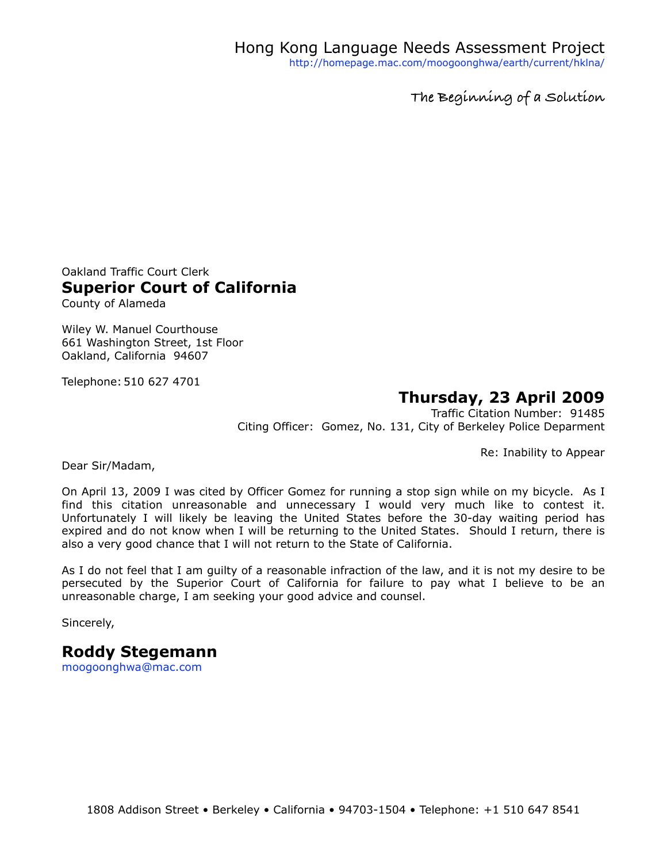**The Beginning of a Solution**

Oakland Traffic Court Clerk **Superior Court of California** County of Alameda

Wiley W. Manuel Courthouse

661 Washington Street, 1st Floor Oakland, California 94607

Telephone: 510 627 4701

## **Thursday, 23 April 2009**

Traffic Citation Number: 91485 Citing Officer: Gomez, No. 131, City of Berkeley Police Deparment

Re: Inability to Appear

Dear Sir/Madam,

On April 13, 2009 I was cited by Officer Gomez for running a stop sign while on my bicycle. As I find this citation unreasonable and unnecessary I would very much like to contest it. Unfortunately I will likely be leaving the United States before the 30-day waiting period has expired and do not know when I will be returning to the United States. Should I return, there is also a very good chance that I will not return to the State of California.

As I do not feel that I am guilty of a reasonable infraction of the law, and it is not my desire to be persecuted by the Superior Court of California for failure to pay what I believe to be an unreasonable charge, I am seeking your good advice and counsel.

Sincerely,

## **Roddy Stegemann**

[moogoonghwa@mac.com](mailto:moogoonghwa@mac.com)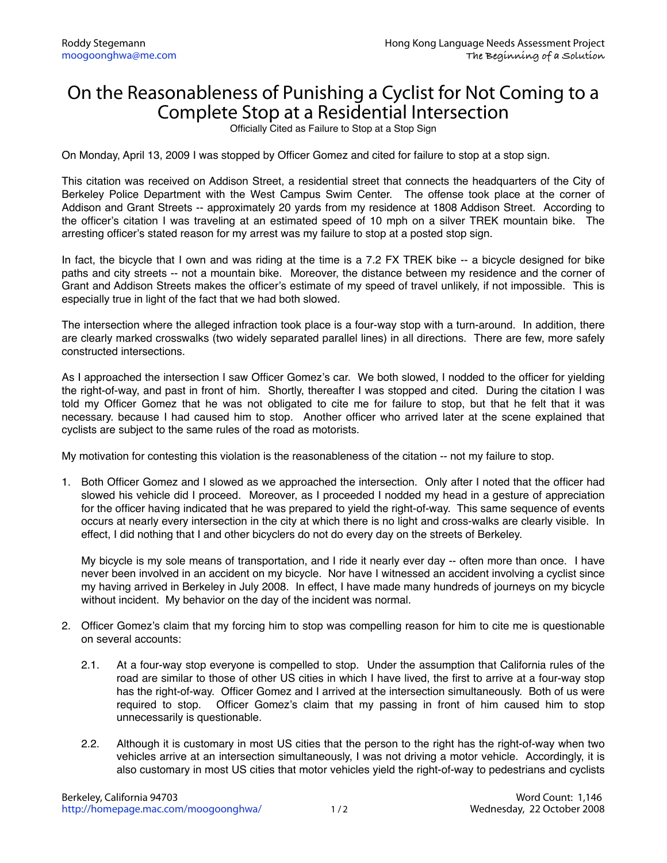## On the Reasonableness of Punishing a Cyclist for Not Coming to a Complete Stop at a Residential Intersection

Officially Cited as Failure to Stop at a Stop Sign

On Monday, April 13, 2009 I was stopped by Officer Gomez and cited for failure to stop at a stop sign.

This citation was received on Addison Street, a residential street that connects the headquarters of the City of Berkeley Police Department with the West Campus Swim Center. The offense took place at the corner of Addison and Grant Streets -- approximately 20 yards from my residence at 1808 Addison Street. According to the officer's citation I was traveling at an estimated speed of 10 mph on a silver TREK mountain bike. The arresting officer's stated reason for my arrest was my failure to stop at a posted stop sign.

In fact, the bicycle that I own and was riding at the time is a 7.2 FX TREK bike -- a bicycle designed for bike paths and city streets -- not a mountain bike. Moreover, the distance between my residence and the corner of Grant and Addison Streets makes the officer's estimate of my speed of travel unlikely, if not impossible. This is especially true in light of the fact that we had both slowed.

The intersection where the alleged infraction took place is a four-way stop with a turn-around. In addition, there are clearly marked crosswalks (two widely separated parallel lines) in all directions. There are few, more safely constructed intersections.

As I approached the intersection I saw Officer Gomez's car. We both slowed, I nodded to the officer for yielding the right-of-way, and past in front of him. Shortly, thereafter I was stopped and cited. During the citation I was told my Officer Gomez that he was not obligated to cite me for failure to stop, but that he felt that it was necessary. because I had caused him to stop. Another officer who arrived later at the scene explained that cyclists are subject to the same rules of the road as motorists.

My motivation for contesting this violation is the reasonableness of the citation -- not my failure to stop.

1. Both Officer Gomez and I slowed as we approached the intersection. Only after I noted that the officer had slowed his vehicle did I proceed. Moreover, as I proceeded I nodded my head in a gesture of appreciation for the officer having indicated that he was prepared to yield the right-of-way. This same sequence of events occurs at nearly every intersection in the city at which there is no light and cross-walks are clearly visible. In effect, I did nothing that I and other bicyclers do not do every day on the streets of Berkeley.

My bicycle is my sole means of transportation, and I ride it nearly ever day -- often more than once. I have never been involved in an accident on my bicycle. Nor have I witnessed an accident involving a cyclist since my having arrived in Berkeley in July 2008. In effect, I have made many hundreds of journeys on my bicycle without incident. My behavior on the day of the incident was normal.

- 2. Officer Gomez's claim that my forcing him to stop was compelling reason for him to cite me is questionable on several accounts:
	- 2.1. At a four-way stop everyone is compelled to stop. Under the assumption that California rules of the road are similar to those of other US cities in which I have lived, the first to arrive at a four-way stop has the right-of-way. Officer Gomez and I arrived at the intersection simultaneously. Both of us were required to stop. Officer Gomez's claim that my passing in front of him caused him to stop unnecessarily is questionable.
	- 2.2. Although it is customary in most US cities that the person to the right has the right-of-way when two vehicles arrive at an intersection simultaneously, I was not driving a motor vehicle. Accordingly, it is also customary in most US cities that motor vehicles yield the right-of-way to pedestrians and cyclists